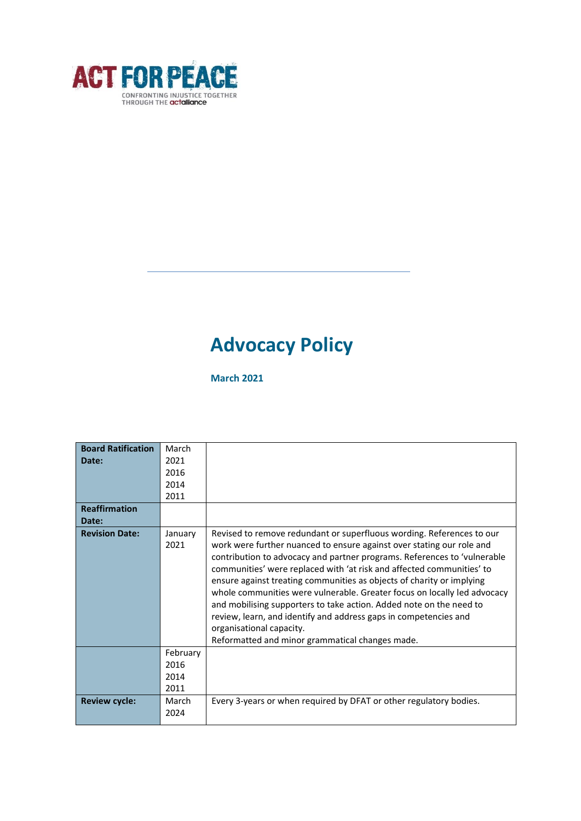

# **Advocacy Policy**

**March 2021**

| <b>Board Ratification</b> | March    |                                                                          |
|---------------------------|----------|--------------------------------------------------------------------------|
| Date:                     | 2021     |                                                                          |
|                           | 2016     |                                                                          |
|                           | 2014     |                                                                          |
|                           | 2011     |                                                                          |
| <b>Reaffirmation</b>      |          |                                                                          |
| Date:                     |          |                                                                          |
| <b>Revision Date:</b>     | January  | Revised to remove redundant or superfluous wording. References to our    |
|                           | 2021     | work were further nuanced to ensure against over stating our role and    |
|                           |          | contribution to advocacy and partner programs. References to 'vulnerable |
|                           |          | communities' were replaced with 'at risk and affected communities' to    |
|                           |          | ensure against treating communities as objects of charity or implying    |
|                           |          | whole communities were vulnerable. Greater focus on locally led advocacy |
|                           |          | and mobilising supporters to take action. Added note on the need to      |
|                           |          | review, learn, and identify and address gaps in competencies and         |
|                           |          | organisational capacity.                                                 |
|                           |          | Reformatted and minor grammatical changes made.                          |
|                           | February |                                                                          |
|                           | 2016     |                                                                          |
|                           | 2014     |                                                                          |
|                           | 2011     |                                                                          |
| <b>Review cycle:</b>      | March    | Every 3-years or when required by DFAT or other regulatory bodies.       |
|                           | 2024     |                                                                          |
|                           |          |                                                                          |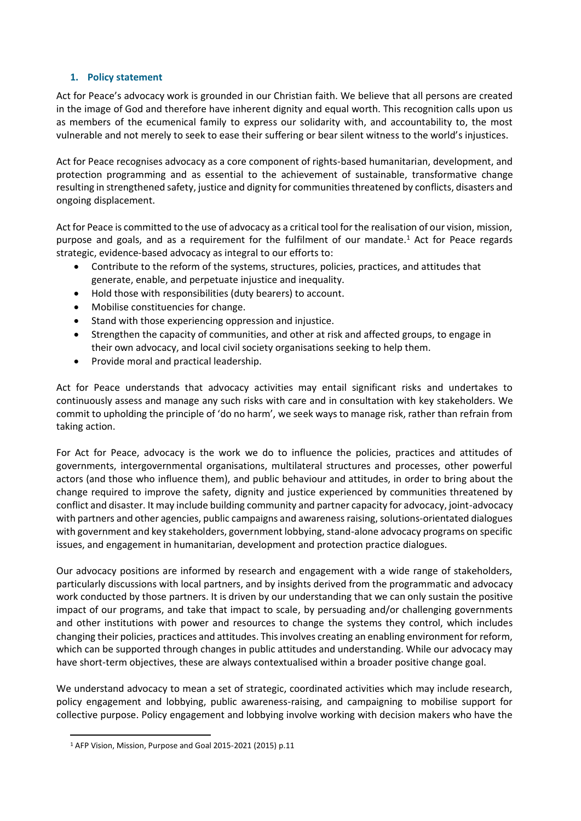## **1. Policy statement**

Act for Peace's advocacy work is grounded in our Christian faith. We believe that all persons are created in the image of God and therefore have inherent dignity and equal worth. This recognition calls upon us as members of the ecumenical family to express our solidarity with, and accountability to, the most vulnerable and not merely to seek to ease their suffering or bear silent witness to the world's injustices.

Act for Peace recognises advocacy as a core component of rights-based humanitarian, development, and protection programming and as essential to the achievement of sustainable, transformative change resulting in strengthened safety, justice and dignity for communities threatened by conflicts, disasters and ongoing displacement.

Act for Peace is committed to the use of advocacy as a critical tool for the realisation of our vision, mission, purpose and goals, and as a requirement for the fulfilment of our mandate. <sup>1</sup> Act for Peace regards strategic, evidence-based advocacy as integral to our efforts to:

- Contribute to the reform of the systems, structures, policies, practices, and attitudes that generate, enable, and perpetuate injustice and inequality.
- Hold those with responsibilities (duty bearers) to account.
- Mobilise constituencies for change.
- Stand with those experiencing oppression and injustice.
- Strengthen the capacity of communities, and other at risk and affected groups, to engage in their own advocacy, and local civil society organisations seeking to help them.
- Provide moral and practical leadership.

Act for Peace understands that advocacy activities may entail significant risks and undertakes to continuously assess and manage any such risks with care and in consultation with key stakeholders. We commit to upholding the principle of 'do no harm', we seek ways to manage risk, rather than refrain from taking action.

For Act for Peace, advocacy is the work we do to influence the policies, practices and attitudes of governments, intergovernmental organisations, multilateral structures and processes, other powerful actors (and those who influence them), and public behaviour and attitudes, in order to bring about the change required to improve the safety, dignity and justice experienced by communities threatened by conflict and disaster. It may include building community and partner capacity for advocacy, joint-advocacy with partners and other agencies, public campaigns and awareness raising, solutions-orientated dialogues with government and key stakeholders, government lobbying, stand-alone advocacy programs on specific issues, and engagement in humanitarian, development and protection practice dialogues.

Our advocacy positions are informed by research and engagement with a wide range of stakeholders, particularly discussions with local partners, and by insights derived from the programmatic and advocacy work conducted by those partners. It is driven by our understanding that we can only sustain the positive impact of our programs, and take that impact to scale, by persuading and/or challenging governments and other institutions with power and resources to change the systems they control, which includes changing their policies, practices and attitudes. This involves creating an enabling environment for reform, which can be supported through changes in public attitudes and understanding. While our advocacy may have short-term objectives, these are always contextualised within a broader positive change goal.

We understand advocacy to mean a set of strategic, coordinated activities which may include research, policy engagement and lobbying, public awareness-raising, and campaigning to mobilise support for collective purpose. Policy engagement and lobbying involve working with decision makers who have the

<sup>1</sup> AFP Vision, Mission, Purpose and Goal 2015-2021 (2015) p.11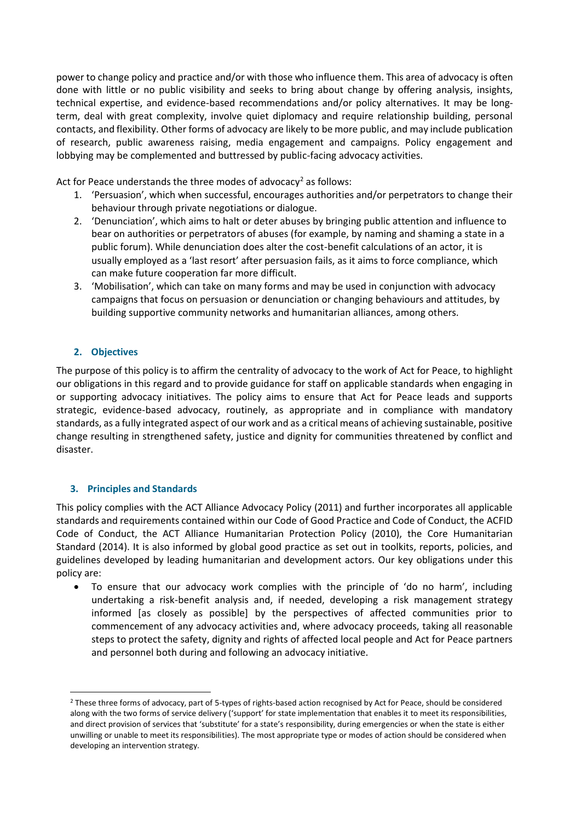power to change policy and practice and/or with those who influence them. This area of advocacy is often done with little or no public visibility and seeks to bring about change by offering analysis, insights, technical expertise, and evidence-based recommendations and/or policy alternatives. It may be longterm, deal with great complexity, involve quiet diplomacy and require relationship building, personal contacts, and flexibility. Other forms of advocacy are likely to be more public, and may include publication of research, public awareness raising, media engagement and campaigns. Policy engagement and lobbying may be complemented and buttressed by public-facing advocacy activities.

Act for Peace understands the three modes of advocacy<sup>2</sup> as follows:

- 1. 'Persuasion', which when successful, encourages authorities and/or perpetrators to change their behaviour through private negotiations or dialogue.
- 2. 'Denunciation', which aims to halt or deter abuses by bringing public attention and influence to bear on authorities or perpetrators of abuses (for example, by naming and shaming a state in a public forum). While denunciation does alter the cost-benefit calculations of an actor, it is usually employed as a 'last resort' after persuasion fails, as it aims to force compliance, which can make future cooperation far more difficult.
- 3. 'Mobilisation', which can take on many forms and may be used in conjunction with advocacy campaigns that focus on persuasion or denunciation or changing behaviours and attitudes, by building supportive community networks and humanitarian alliances, among others.

# **2. Objectives**

The purpose of this policy is to affirm the centrality of advocacy to the work of Act for Peace, to highlight our obligations in this regard and to provide guidance for staff on applicable standards when engaging in or supporting advocacy initiatives. The policy aims to ensure that Act for Peace leads and supports strategic, evidence-based advocacy, routinely, as appropriate and in compliance with mandatory standards, as a fully integrated aspect of our work and as a critical means of achieving sustainable, positive change resulting in strengthened safety, justice and dignity for communities threatened by conflict and disaster.

## **3. Principles and Standards**

This policy complies with the ACT Alliance Advocacy Policy (2011) and further incorporates all applicable standards and requirements contained within our Code of Good Practice and Code of Conduct, the ACFID Code of Conduct, the ACT Alliance Humanitarian Protection Policy (2010), the Core Humanitarian Standard (2014). It is also informed by global good practice as set out in toolkits, reports, policies, and guidelines developed by leading humanitarian and development actors. Our key obligations under this policy are:

• To ensure that our advocacy work complies with the principle of 'do no harm', including undertaking a risk-benefit analysis and, if needed, developing a risk management strategy informed [as closely as possible] by the perspectives of affected communities prior to commencement of any advocacy activities and, where advocacy proceeds, taking all reasonable steps to protect the safety, dignity and rights of affected local people and Act for Peace partners and personnel both during and following an advocacy initiative.

<sup>2</sup> These three forms of advocacy, part of 5-types of rights-based action recognised by Act for Peace, should be considered along with the two forms of service delivery ('support' for state implementation that enables it to meet its responsibilities, and direct provision of services that 'substitute' for a state's responsibility, during emergencies or when the state is either unwilling or unable to meet its responsibilities). The most appropriate type or modes of action should be considered when developing an intervention strategy.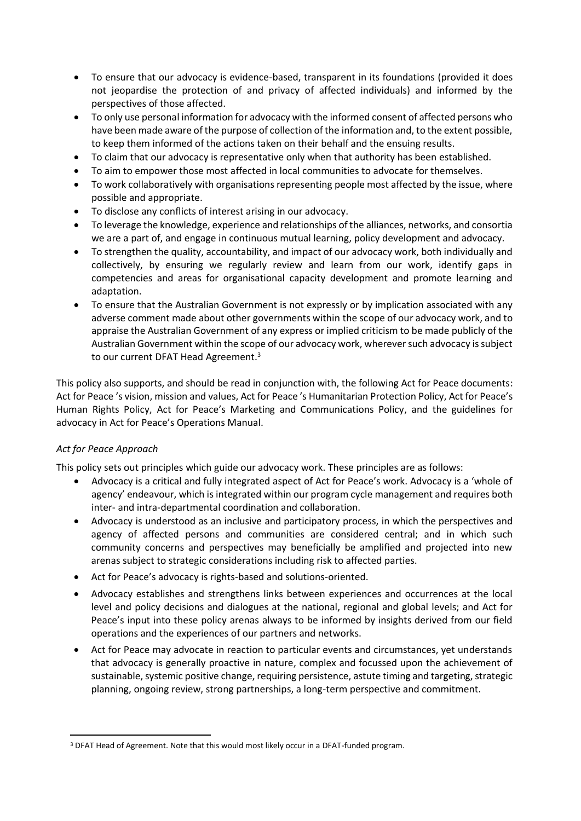- To ensure that our advocacy is evidence-based, transparent in its foundations (provided it does not jeopardise the protection of and privacy of affected individuals) and informed by the perspectives of those affected.
- To only use personal information for advocacy with the informed consent of affected persons who have been made aware of the purpose of collection of the information and, to the extent possible, to keep them informed of the actions taken on their behalf and the ensuing results.
- To claim that our advocacy is representative only when that authority has been established.
- To aim to empower those most affected in local communities to advocate for themselves.
- To work collaboratively with organisations representing people most affected by the issue, where possible and appropriate.
- To disclose any conflicts of interest arising in our advocacy.
- To leverage the knowledge, experience and relationships of the alliances, networks, and consortia we are a part of, and engage in continuous mutual learning, policy development and advocacy.
- To strengthen the quality, accountability, and impact of our advocacy work, both individually and collectively, by ensuring we regularly review and learn from our work, identify gaps in competencies and areas for organisational capacity development and promote learning and adaptation.
- To ensure that the Australian Government is not expressly or by implication associated with any adverse comment made about other governments within the scope of our advocacy work, and to appraise the Australian Government of any express or implied criticism to be made publicly of the Australian Government within the scope of our advocacy work, wherever such advocacy is subject to our current DFAT Head Agreement.<sup>3</sup>

This policy also supports, and should be read in conjunction with, the following Act for Peace documents: Act for Peace 's vision, mission and values, Act for Peace 's Humanitarian Protection Policy, Act for Peace's Human Rights Policy, Act for Peace's Marketing and Communications Policy, and the guidelines for advocacy in Act for Peace's Operations Manual.

# *Act for Peace Approach*

This policy sets out principles which guide our advocacy work. These principles are as follows:

- Advocacy is a critical and fully integrated aspect of Act for Peace's work. Advocacy is a 'whole of agency' endeavour, which is integrated within our program cycle management and requires both inter- and intra-departmental coordination and collaboration.
- Advocacy is understood as an inclusive and participatory process, in which the perspectives and agency of affected persons and communities are considered central; and in which such community concerns and perspectives may beneficially be amplified and projected into new arenas subject to strategic considerations including risk to affected parties.
- Act for Peace's advocacy is rights-based and solutions-oriented.
- Advocacy establishes and strengthens links between experiences and occurrences at the local level and policy decisions and dialogues at the national, regional and global levels; and Act for Peace's input into these policy arenas always to be informed by insights derived from our field operations and the experiences of our partners and networks.
- Act for Peace may advocate in reaction to particular events and circumstances, yet understands that advocacy is generally proactive in nature, complex and focussed upon the achievement of sustainable, systemic positive change, requiring persistence, astute timing and targeting, strategic planning, ongoing review, strong partnerships, a long-term perspective and commitment.

<sup>&</sup>lt;sup>3</sup> DFAT Head of Agreement. Note that this would most likely occur in a DFAT-funded program.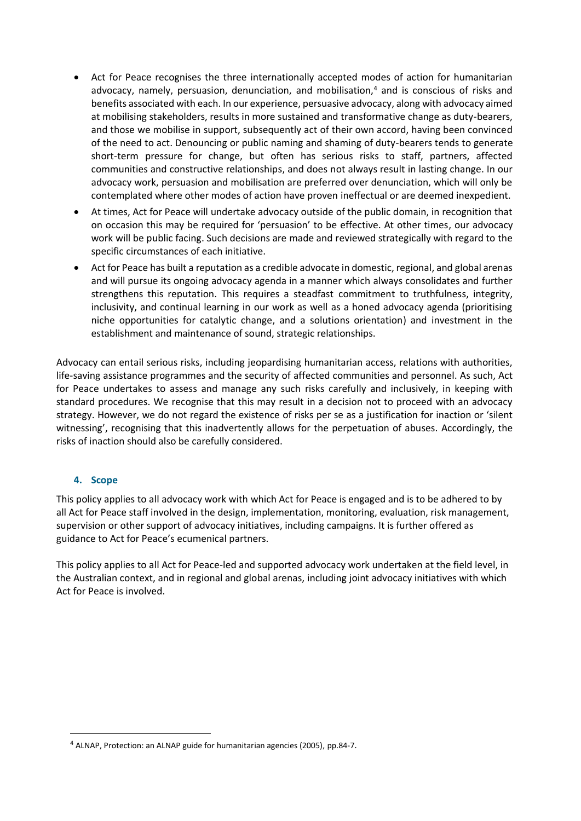- Act for Peace recognises the three internationally accepted modes of action for humanitarian advocacy, namely, persuasion, denunciation, and mobilisation, <sup>4</sup> and is conscious of risks and benefits associated with each. In our experience, persuasive advocacy, along with advocacy aimed at mobilising stakeholders, results in more sustained and transformative change as duty-bearers, and those we mobilise in support, subsequently act of their own accord, having been convinced of the need to act. Denouncing or public naming and shaming of duty-bearers tends to generate short-term pressure for change, but often has serious risks to staff, partners, affected communities and constructive relationships, and does not always result in lasting change. In our advocacy work, persuasion and mobilisation are preferred over denunciation, which will only be contemplated where other modes of action have proven ineffectual or are deemed inexpedient.
- At times, Act for Peace will undertake advocacy outside of the public domain, in recognition that on occasion this may be required for 'persuasion' to be effective. At other times, our advocacy work will be public facing. Such decisions are made and reviewed strategically with regard to the specific circumstances of each initiative.
- Act for Peace has built a reputation as a credible advocate in domestic, regional, and global arenas and will pursue its ongoing advocacy agenda in a manner which always consolidates and further strengthens this reputation. This requires a steadfast commitment to truthfulness, integrity, inclusivity, and continual learning in our work as well as a honed advocacy agenda (prioritising niche opportunities for catalytic change, and a solutions orientation) and investment in the establishment and maintenance of sound, strategic relationships.

Advocacy can entail serious risks, including jeopardising humanitarian access, relations with authorities, life-saving assistance programmes and the security of affected communities and personnel. As such, Act for Peace undertakes to assess and manage any such risks carefully and inclusively, in keeping with standard procedures. We recognise that this may result in a decision not to proceed with an advocacy strategy. However, we do not regard the existence of risks per se as a justification for inaction or 'silent witnessing', recognising that this inadvertently allows for the perpetuation of abuses. Accordingly, the risks of inaction should also be carefully considered.

#### **4. Scope**

This policy applies to all advocacy work with which Act for Peace is engaged and is to be adhered to by all Act for Peace staff involved in the design, implementation, monitoring, evaluation, risk management, supervision or other support of advocacy initiatives, including campaigns. It is further offered as guidance to Act for Peace's ecumenical partners.

This policy applies to all Act for Peace-led and supported advocacy work undertaken at the field level, in the Australian context, and in regional and global arenas, including joint advocacy initiatives with which Act for Peace is involved.

<sup>4</sup> ALNAP, Protection: an ALNAP guide for humanitarian agencies (2005), pp.84-7.